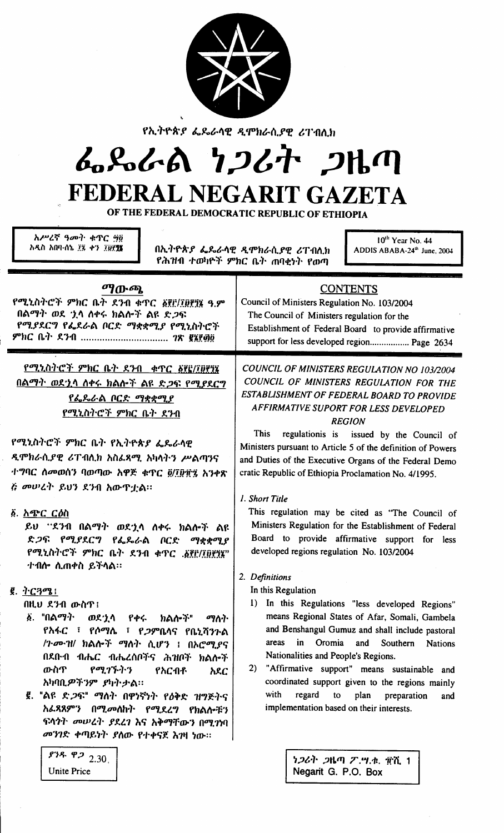

የኢትዮጵያ ፌዴራሳዊ ዲሞክራሲያዊ ሪፐብሲክ

## んぺんめ ファムヤ フルク FEDERAL NEGARIT GAZETA

OF THE FEDERAL DEMOCRATIC REPUBLIC OF ETHIOPIA

| አሥረኛ ዓመት ቁጥር ፵፬        |  |
|------------------------|--|
| አዲስ አበባ-ሰኔ ፲፯ ቀን ፲፱፻፺፮ |  |
|                        |  |

<u> አትዮጵያ ፌዴራሳዊ ዲሞክራሲያዊ ሪፐብሲክ</u> የሕዝብ ተወካዮች ምክር ቤት ጠባቂነት የወጣ

10<sup>th</sup> Year No. 44 ADDIS ABABA-24<sup>th</sup> June, 2004

| ማውጫ<br>የሚኒስትሮች ምክር ቤት ደንብ ቁጥር ፩፻፫/፲፬፻፶፮ ዓ.ም<br>በልማት ወደ 'ኒሳ ስቀሩ ክልሎች ልዩ ድ <i>ጋ</i> ፍ<br>የሚያደርግ የፌደራል ቦርድ ማቋቋሚያ የሚኒስትሮች<br>ምክር ቤት ደንብ <i>ገ</i> ጽ ፪፮፻፴፬                                                                                                                                                                                                                                                                                   | <b>CONTENTS</b><br>Council of Ministers Regulation No. 103/2004<br>The Council of Ministers regulation for the<br>Establishment of Federal Board to provide affirmative<br>support for less developed region Page 2634                                                                                                                                                                                                                                                                                                                       |  |
|----------------------------------------------------------------------------------------------------------------------------------------------------------------------------------------------------------------------------------------------------------------------------------------------------------------------------------------------------------------------------------------------------------------------------------------|----------------------------------------------------------------------------------------------------------------------------------------------------------------------------------------------------------------------------------------------------------------------------------------------------------------------------------------------------------------------------------------------------------------------------------------------------------------------------------------------------------------------------------------------|--|
| የሚኒስትሮች ምክር ቤት ደንብ ቀጥር ል፪ያ/፲፱፻፺፮<br>በልማት ወደኋላ ስቀሩ ክልሎች ልዩ ድጋፍ የሚያደርግ<br><u>የፌዴራል ቦርድ ማቋቋሚያ</u><br><u>የሚኒስትሮች ምክር ቤት ደንብ</u><br>የሚኒስትሮች ምክር ቤት የኢትዮጵያ ፌዴራሳዊ<br>ዲሞክራሲያዊ ሪፐብሲክ አስፌጻሚ አካሳትን ሥልጣንና                                                                                                                                                                                                                                          | COUNCIL OF MINISTERS REGULATION NO 103/2004<br>COUNCIL OF MINISTERS REGULATION FOR THE<br>ESTABLISHMENT OF FEDERAL BOARD TO PROVIDE<br><b>AFFIRMATIVE SUPORT FOR LESS DEVELOPED</b><br><b>REGION</b><br><b>This</b><br>regulationis is issued by the Council of<br>Ministers pursuant to Article 5 of the definition of Powers<br>and Duties of the Executive Organs of the Federal Demo                                                                                                                                                     |  |
| ተግባር ስመወሰን ባወጣው አዋጅ ቁጥር ፬/፲፱፱፯ አንቀጽ<br>ሯ መሠረት ይህን ደንብ አውዋቷል።<br>ል. <u>አጭር ርዕስ</u><br>ይህ "ደንብ በልማት ወደ'ኒሳ ስቀሩ ክልሎች ልዩ<br>ድ <i>ጋ</i> ፍ የሚያደርግ የፌዴራል ቦርድ<br>ማቋቋሚያ<br>የሚኒስትሮች ምክር ቤት ደንብ ቀዋር .፩፻፫/፲፬፻፺፯"<br>ተብሎ ሲጠቀስ ይችሳል።                                                                                                                                                                                                                  | cratic Republic of Ethiopia Proclamation No. 4/1995.<br>1. Short Title<br>This regulation may be cited as "The Council of<br>Ministers Regulation for the Establishment of Federal<br>Board to provide affirmative support for less<br>developed regions regulation No. 103/2004                                                                                                                                                                                                                                                             |  |
| $\bar{g}$ . $\gamma$ C $3\sigma$ :<br>በዚህ ደንብ ውስጥ፤<br>፩. "በልማት<br>ወደ ነ ላ<br>የቀሩ<br>ክልሎች"<br>ማለት<br>የአፋር ፣ የሶማሴ ፣ የ <i>ጋ</i> ምቤላና የቤኒሻንጉል<br>/ጉሙዝ/ ክልሎች ማሰት ሲሆን ፤ በኦሮሚያና<br>በደቡብ ብሔር ብሔረሰቦችና ሕዝቦች ክልሎች<br>ውስጥ<br>የሚገኙትን<br>የአርብቶ<br>አደር<br>አካባቢ <i>ዎችን</i> ም <i>ያካት</i> ታል።<br>፪. "ልዩ ድ <i>ጋ</i> ፍ" ማሰት በዋነኛነት የዕቅድ ዝግጅትና<br>አፌጻጸምን በሚመለከት የሚደረግ የክልሎቹን<br>ፍላጎት መሠረት ያደረገ እና አቅማቸውን በሚገነባ<br>መንገድ ቀጣይነት ያስው የተቀናጀ እንዛ ነው።<br>9.30, 9.22 | 2. Definitions<br>In this Regulation<br>In this Regulations "less developed Regions"<br>1)<br>means Regional States of Afar, Somali, Gambela<br>and Benshangul Gumuz and shall include pastoral<br>Oromia<br>in<br>Southern Nations<br>areas<br>and<br>Nationalities and People's Regions.<br>"Affirmative support" means sustainable and<br>2)<br>coordinated support given to the regions mainly<br>with<br>regard<br>plan<br>to<br>preparation<br>and<br>implementation based on their interests.<br><i>ነጋ</i> ሪት <i>ጋ</i> ዜጣ ፖ.ሣ.ቁ. ፹ሺ 1 |  |

Negarit G. P.O. Box

**Unite Price**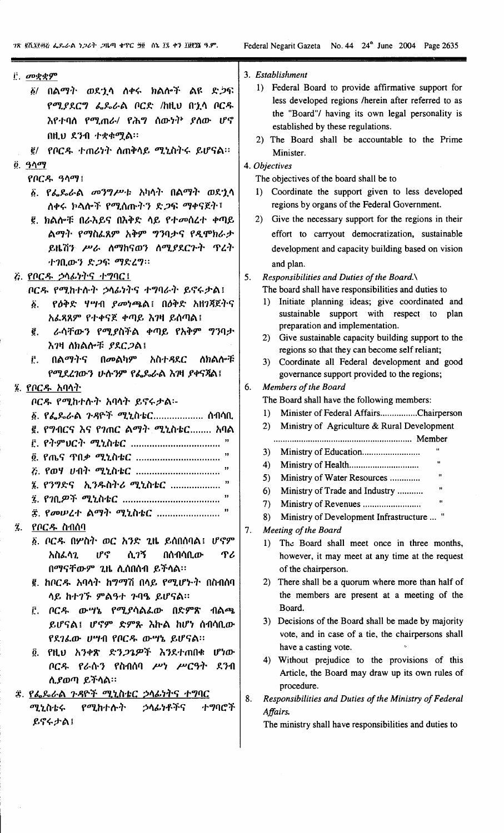$\bar{\bar{z}}$ 

| i. መቋቋም                                                                                                                                                                                                                                                                                                                                                                                                                                                                                                                                                                                       | 3. Establishment                                                                                                                                                                                                                                                                                                                                                                                                                                                                                                                                                                                                                                                                                                                                                                                                                                                                             |
|-----------------------------------------------------------------------------------------------------------------------------------------------------------------------------------------------------------------------------------------------------------------------------------------------------------------------------------------------------------------------------------------------------------------------------------------------------------------------------------------------------------------------------------------------------------------------------------------------|----------------------------------------------------------------------------------------------------------------------------------------------------------------------------------------------------------------------------------------------------------------------------------------------------------------------------------------------------------------------------------------------------------------------------------------------------------------------------------------------------------------------------------------------------------------------------------------------------------------------------------------------------------------------------------------------------------------------------------------------------------------------------------------------------------------------------------------------------------------------------------------------|
| ፩/ በልማት ወደኂሳ ስቀሩ ክልሎች ልዩ ድ <i>ጋ</i> ፍ<br>የሚያደርግ ፌጼራል ቦርድ /ከዚህ በኂሳ ቦርዱ<br>እየተባለ <i>የሚ</i> ጠራ/ የሕግ ሰውነ <sup>ነኑ</sup> ያስው ሆኖ<br>በዚህ ደንብ ተቋቀሟል።<br>፪/ የቦርዱ ተጠሪነት ስጠቅሳይ ሚኒስትሩ ይሆናል።<br><u>፬</u> . ዓላማ<br>የቦርዱ ዓላማ!<br>፩. የፌዴራል <i>መንግሥ</i> ቱ አካሳት በልማት ወደ <u>ኒ</u> ሳ<br>ሰቀሩ ክላሎች የሚሰጡትን ድጋፍ ማቀናጀት፣                                                                                                                                                                                                                                                                                                 | 1) Federal Board to provide affirmative support for<br>less developed regions /herein after referred to as<br>the "Board"/ having its own legal personality is<br>established by these regulations.<br>2) The Board shall be accountable to the Prime<br>Minister.<br>4. Objectives<br>The objectives of the board shall be to<br>Coordinate the support given to less developed<br>$\bf{D}$<br>regions by organs of the Federal Government.                                                                                                                                                                                                                                                                                                                                                                                                                                                 |
| ፪. ክልሎቹ በራእይና በእቅድ ላይ የተመሰረተ ቀጣይ<br>ልማት የማስፌጸም አቅም ግንባታና የዲሞክራታ<br>ይዜሽን ሥራ ስማከናወን ስሚያደርጉት ጥረት<br>ተገቢውን ድ <i>ጋ</i> ፍ ማድረግ።                                                                                                                                                                                                                                                                                                                                                                                                                                                                     | 2) Give the necessary support for the regions in their<br>effort to carryout democratization, sustainable<br>development and capacity building based on vision<br>and plan.                                                                                                                                                                                                                                                                                                                                                                                                                                                                                                                                                                                                                                                                                                                  |
| ሯ. የቦርዱ ኃላፊነትና ተግባር!                                                                                                                                                                                                                                                                                                                                                                                                                                                                                                                                                                          | 5.<br>Responsibilities and Duties of the Board. $\setminus$                                                                                                                                                                                                                                                                                                                                                                                                                                                                                                                                                                                                                                                                                                                                                                                                                                  |
| ቦርዱ የሚከተሱት ኃላፊነትና ተግባራት ይኖሩታል፤<br>የዕቅድ ሃሣብ <i>ያመነጫ</i> ል፤ በዕቅድ አዘገጃጀትና<br>Ő.<br>አፌጻጸም የተቀናጀ ቀጣይ እንዛ ይሰጣል፤<br>ራሳቸውን የሚያስችል ቀጣይ የአቅም ግንባታ<br>€.<br>እንዛ ለክልሎቹ ያደር <i>ጋ</i> ል፤<br>Ë.<br>በልማትና<br>ለክልሎቹ<br>በ <i>መ</i> ልካም አስተ <i>ዳ</i> ደር<br>የሚደረገውን ሁስንም የፌጼራል እገዛ ያቀናጃል፤                                                                                                                                                                                                                                                                                                                         | The board shall have responsibilities and duties to<br>1) Initiate planning ideas; give coordinated and<br>sustainable support with respect to plan<br>preparation and implementation.<br>2) Give sustainable capacity building support to the<br>regions so that they can become self reliant;<br>3) Coordinate all Federal development and good<br>governance support provided to the regions;                                                                                                                                                                                                                                                                                                                                                                                                                                                                                             |
| ፮. የቦርዱ አባላት                                                                                                                                                                                                                                                                                                                                                                                                                                                                                                                                                                                  | <b>Members of the Board</b><br>6.                                                                                                                                                                                                                                                                                                                                                                                                                                                                                                                                                                                                                                                                                                                                                                                                                                                            |
| ቦርዱ የሚከተሱት አባሳት ይኖሩታል፡-<br>፩. የፌጼራል ጉዳዮች ሚኒስቴር ሰብሳቢ<br>፪. የግብርና እና የገጠር ልማት ሚኒስቴር<br>አባል<br>፫. የትምህርት ሚኒስቴር<br>፬. የጤና ጥበ <i>ቃ ሚኒ</i> ስቴር<br>Z. የወሃ ሀብት ሚኒስቴር<br>,,<br>፮. የንግድና ኢንዱስትሪ ሚኒስቴር<br>፰. የመሠረተ ልማት ሚኒስቴር<br>የቦርዱ ስብሰባ<br>Ÿ.<br>፩. ቦርዱ በሦስት ወር አንድ ጊዜ ይሰበሰባል፤ ሆኖም<br>በሰብሳቢው<br>ሲገኝ<br>አስፌላጊ<br>ሆኖ<br>ጥሪ<br>በማናቸውም ጊዜ ሲሰበሰብ ይችሳል።<br>፪. ክቦርዱ አባላት ከግማሽ በላይ የሚሆኑት በስብሰባ<br>ሳይ ከተገኙ ምልዓተ ጉባዔ ይሆናል።<br>ቦርዱ ውሣኔ የሚያሳልፌው በድምጽ ብልጫ<br>Ê.<br>ይሆናል፤ ሆኖም ድምጹ እኩል ከሆነ ሰብሳቢው<br>የደገፌው ሀሣብ የቦርዱ ውሣኔ ይሆናል።<br>የዚህ አንቀጽ ድ <i>ንጋጌዎች</i> እንደተጠበቁ ሆነው<br>Ö.<br>ቦርዱ የራሱን የስብሰባ ሥነ ሥርዓት ደንብ<br>ሲያወጣ ይችላል። | The Board shall have the following members:<br>Minister of Federal AffairsChairperson<br>$_{\rm 1)}$<br>Ministry of Agriculture & Rural Development<br>2)<br>3)<br>Ħ<br>4)<br>$\mathbf{H}$<br>Ministry of Water Resources<br>5)<br>$\pmb{\mathfrak{m}}$<br>Ministry of Trade and Industry<br>6)<br>11<br>7)<br>Ministry of Development Infrastructure  "<br>8)<br>7.<br>Meeting of the Board<br>The Board shall meet once in three months,<br>$\bf{D}$<br>however, it may meet at any time at the request<br>of the chairperson.<br>There shall be a quorum where more than half of<br>2)<br>the members are present at a meeting of the<br>Board.<br>3) Decisions of the Board shall be made by majority<br>vote, and in case of a tie, the chairpersons shall<br>have a casting vote.<br>4) Without prejudice to the provisions of this<br>Article, the Board may draw up its own rules of |
| ድ. የፌዴራል <i>ጉዳ</i> ዮች ሚኒስቴር <i>ኃ</i> ላፊነትና ተግባር<br>የሚከተሱት ኃሳፊነቶችና<br>ተማባሮች<br>ሚኒስቴሩ<br>ይኖሩታል!                                                                                                                                                                                                                                                                                                                                                                                                                                                                                                 | procedure.<br>8.<br>Responsibilities and Duties of the Ministry of Federal<br>Affairs.<br>The ministry shall have responsibilities and duties to                                                                                                                                                                                                                                                                                                                                                                                                                                                                                                                                                                                                                                                                                                                                             |